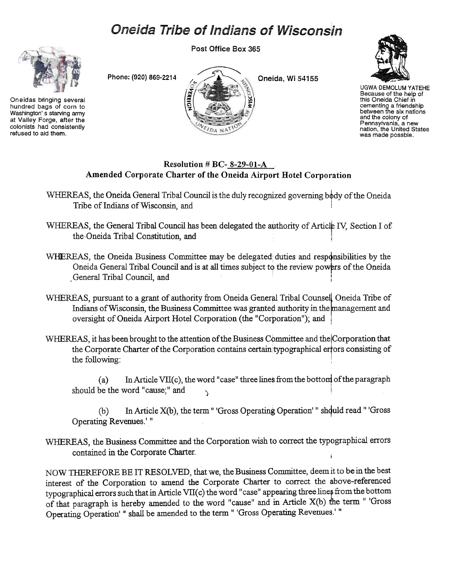## **Oneida Tribe of Indians of Wisconsin**

Post Office Box 365



Washington's starving army at Valley Forge, after the colonists had consistently refused to aid them.





UGWA DEMOLUM YATEHE Because of the help of this Oneida Chief in cementing a friendshij<br>between the six nation and the colony of Pennsylvania, a new nation, the United States was made possble.

## Resolution # BC- 8-29-01-A Amended Corporate Charter of the Oneida Airport Hotel Corporation

WHEREAS, the Oneida General Tribal Council is the duly recognized governing body of the Oneida Tribe of Indians of Wisconsin, and

- WHEREAS, the General Tribal Council has been delegated the authority of Article IV, Section I of the.Oneida Tribal Constitution, and !
- WHEREAS, the Oneida Business Committee may be delegated duties and responsibilities by the Oneida General Tribal Council and is at all times subject to the review powers of the Oneida General Tribal Council, and
- WHEREAS, pursuant to a grant of authority from Oneida General Tribal Counsel Oneida Tribe of Indians of Wisconsin, the Business Committee was granted authority in the management and oversight of Oneida Airport Hotel Corporation (the "Corporation"); and i
- WHEREAS, it has been brought to the attention of the Business Committee and the Corporation that the Corporate Charter of the Corporation contains certain typographical errors consisting of the following:
	- (a) In Article VII(c), the word "case" three lines from the bottom of the paragraph should be the word "cause;" and
	- $(b)$  In Article X(b), the term " 'Gross Operating Operation' " shquld read " 'Gross Operating Revenues.' "
- WHEREAS, the Business Committee and the Corporation wish to correct the typographical errors contained in the Corporate Charter.

NOW THEREFORE BE IT RESOLVED, that we, the Business Committee, deem it to be in the best interest of the Corporation to amend the Corporate Charter to correct the above-referenced typographical errors such that in Article VII(c) the word "case" appearing three lines from the bottom of that paragraph is hereby amended to the word "cause" and in Article X(b) the term " 'Gross Operating Operation' " shall be amended to the term " 'Gross Operating Revenues.' "